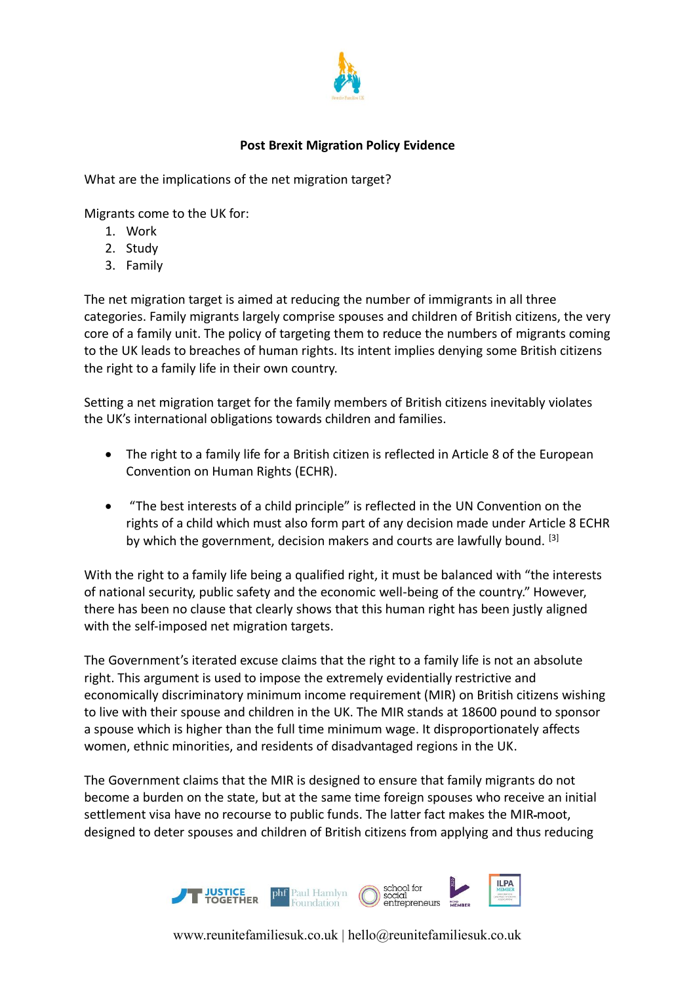

## **Post Brexit Migration Policy Evidence**

What are the implications of the net migration target?

Migrants come to the UK for:

- 1. Work
- 2. Study
- 3. Family

The net migration target is aimed at reducing the number of immigrants in all three categories. Family migrants largely comprise spouses and children of British citizens, the very core of a family unit. The policy of targeting them to reduce the numbers of migrants coming to the UK leads to breaches of human rights. Its intent implies denying some British citizens the right to a family life in their own country.

Setting a net migration target for the family members of British citizens inevitably violates the UK's international obligations towards children and families.

- The right to a family life for a British citizen is reflected in Article 8 of the European Convention on Human Rights (ECHR).
- "The best interests of a child principle" is reflected in the UN Convention on the rights of a child which must also form part of any decision made under Article 8 ECHR by which the government, decision makers and courts are lawfully bound.  $[3]$

With the right to a family life being a qualified right, it must be balanced with "the interests of national security, public safety and the economic well-being of the country." However, there has been no clause that clearly shows that this human right has been justly aligned with the self-imposed net migration targets.

The Government's iterated excuse claims that the right to a family life is not an absolute right. This argument is used to impose the extremely evidentially restrictive and economically discriminatory minimum income requirement (MIR) on British citizens wishing to live with their spouse and children in the UK. The MIR stands at 18600 pound to sponsor a spouse which is higher than the full time minimum wage. It disproportionately affects women, ethnic minorities, and residents of disadvantaged regions in the UK.

The Government claims that the MIR is designed to ensure that family migrants do not become a burden on the state, but at the same time foreign spouses who receive an initial settlement visa have no recourse to public funds. The latter fact makes the MIR moot, designed to deter spouses and children of British citizens from applying and thus reducing



www.reunitefamiliesuk.co.uk | hello@reunitefamiliesuk.co.uk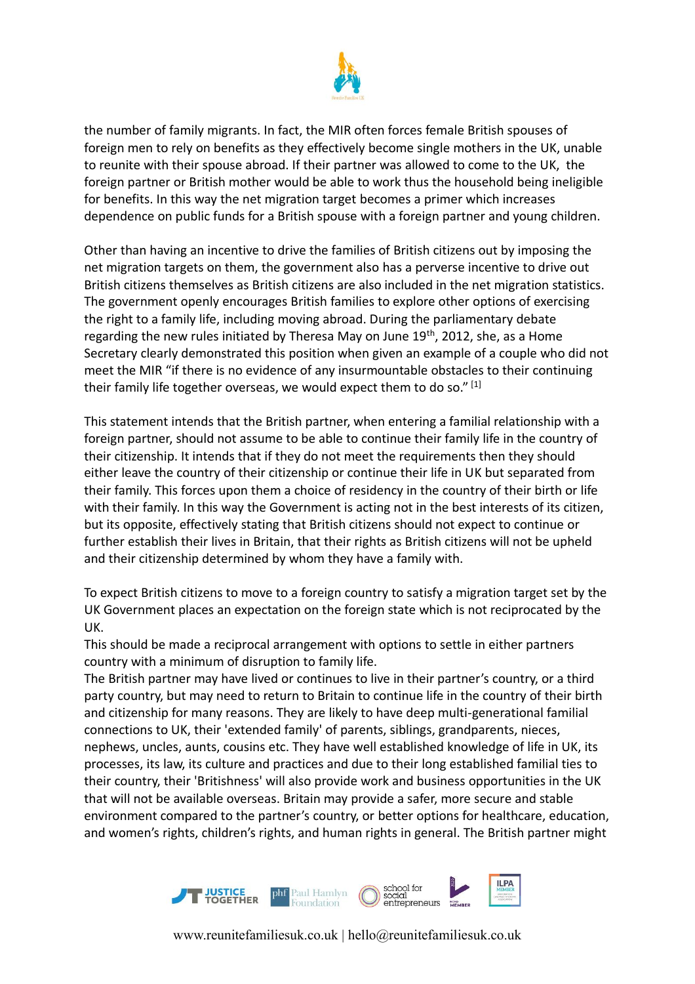

the number of family migrants. In fact, the MIR often forces female British spouses of foreign men to rely on benefits as they effectively become single mothers in the UK, unable to reunite with their spouse abroad. If their partner was allowed to come to the UK, the foreign partner or British mother would be able to work thus the household being ineligible for benefits. In this way the net migration target becomes a primer which increases dependence on public funds for a British spouse with a foreign partner and young children.

Other than having an incentive to drive the families of British citizens out by imposing the net migration targets on them, the government also has a perverse incentive to drive out British citizens themselves as British citizens are also included in the net migration statistics. The government openly encourages British families to explore other options of exercising the right to a family life, including moving abroad. During the parliamentary debate regarding the new rules initiated by Theresa May on June 19<sup>th</sup>, 2012, she, as a Home Secretary clearly demonstrated this position when given an example of a couple who did not meet the MIR "if there is no evidence of any insurmountable obstacles to their continuing their family life together overseas, we would expect them to do so."  $[1]$ 

This statement intends that the British partner, when entering a familial relationship with a foreign partner, should not assume to be able to continue their family life in the country of their citizenship. It intends that if they do not meet the requirements then they should either leave the country of their citizenship or continue their life in UK but separated from their family. This forces upon them a choice of residency in the country of their birth or life with their family. In this way the Government is acting not in the best interests of its citizen, but its opposite, effectively stating that British citizens should not expect to continue or further establish their lives in Britain, that their rights as British citizens will not be upheld and their citizenship determined by whom they have a family with.

To expect British citizens to move to a foreign country to satisfy a migration target set by the UK Government places an expectation on the foreign state which is not reciprocated by the UK.

This should be made a reciprocal arrangement with options to settle in either partners country with a minimum of disruption to family life.

The British partner may have lived or continues to live in their partner's country, or a third party country, but may need to return to Britain to continue life in the country of their birth and citizenship for many reasons. They are likely to have deep multi-generational familial connections to UK, their 'extended family' of parents, siblings, grandparents, nieces, nephews, uncles, aunts, cousins etc. They have well established knowledge of life in UK, its processes, its law, its culture and practices and due to their long established familial ties to their country, their 'Britishness' will also provide work and business opportunities in the UK that will not be available overseas. Britain may provide a safer, more secure and stable environment compared to the partner's country, or better options for healthcare, education, and women's rights, children's rights, and human rights in general. The British partner might



www.reunitefamiliesuk.co.uk | hello@reunitefamiliesuk.co.uk